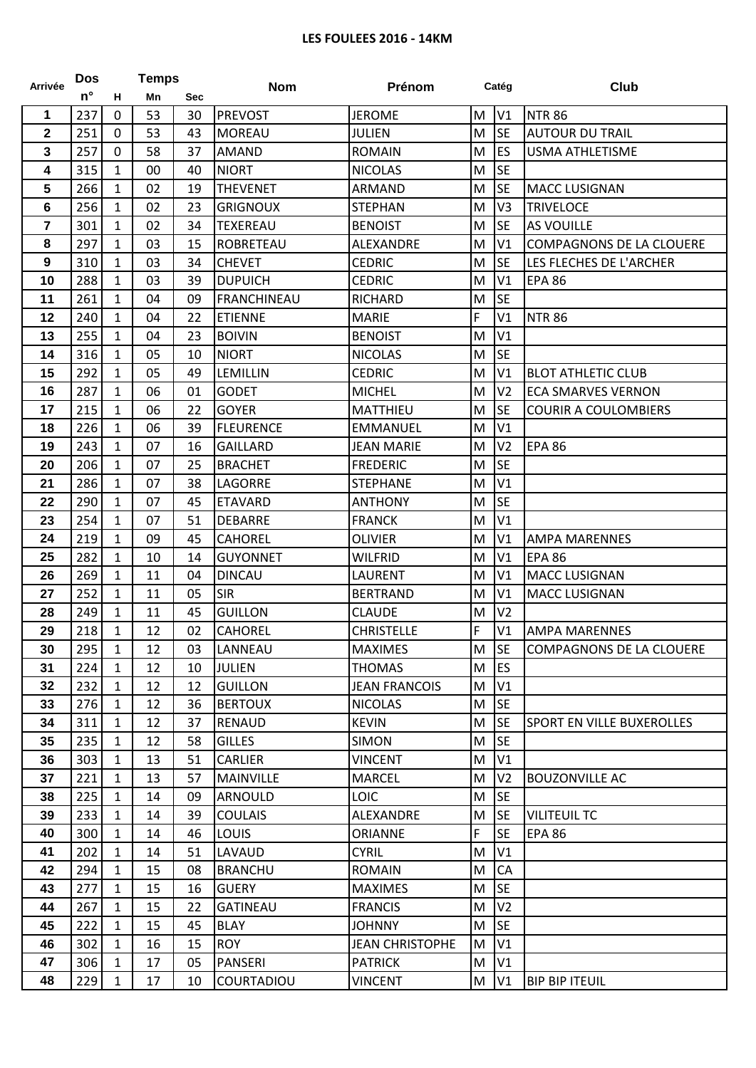## **LES FOULEES 2016 - 14KM**

| <b>Arrivée</b>   | <b>Dos</b>  | <b>Temps</b> |    |            | <b>Nom</b>         | Prénom                 | Catég |                | Club                             |
|------------------|-------------|--------------|----|------------|--------------------|------------------------|-------|----------------|----------------------------------|
|                  | $n^{\circ}$ | н            | Mn | <b>Sec</b> |                    |                        |       |                |                                  |
| 1                | 237         | $\mathbf 0$  | 53 | 30         | <b>PREVOST</b>     | <b>JEROME</b>          | M     | V1             | <b>NTR 86</b>                    |
| $\mathbf 2$      | 251         | $\mathbf 0$  | 53 | 43         | <b>MOREAU</b>      | <b>JULIEN</b>          | M     | <b>SE</b>      | <b>AUTOUR DU TRAIL</b>           |
| 3                | 257         | $\mathbf 0$  | 58 | 37         | AMAND              | <b>ROMAIN</b>          | M     | ES             | <b>USMA ATHLETISME</b>           |
| 4                | 315         | $\mathbf{1}$ | 00 | 40         | <b>NIORT</b>       | <b>NICOLAS</b>         | M     | <b>SE</b>      |                                  |
| 5                | 266         | $\mathbf{1}$ | 02 | 19         | <b>THEVENET</b>    | ARMAND                 | M     | <b>SE</b>      | <b>MACC LUSIGNAN</b>             |
| 6                | 256         | $\mathbf{1}$ | 02 | 23         | <b>GRIGNOUX</b>    | <b>STEPHAN</b>         | M     | V <sub>3</sub> | <b>TRIVELOCE</b>                 |
| $\overline{7}$   | 301         | $\mathbf{1}$ | 02 | 34         | TEXEREAU           | <b>BENOIST</b>         | M     | <b>SE</b>      | <b>AS VOUILLE</b>                |
| 8                | 297         | $\mathbf{1}$ | 03 | 15         | <b>ROBRETEAU</b>   | ALEXANDRE              | M     | V <sub>1</sub> | <b>COMPAGNONS DE LA CLOUERE</b>  |
| $\boldsymbol{9}$ | 310         | $\mathbf{1}$ | 03 | 34         | <b>CHEVET</b>      | <b>CEDRIC</b>          | M     | <b>SE</b>      | LES FLECHES DE L'ARCHER          |
| 10               | 288         | $\mathbf{1}$ | 03 | 39         | <b>DUPUICH</b>     | <b>CEDRIC</b>          | M     | V1             | <b>EPA 86</b>                    |
| 11               | 261         | 1            | 04 | 09         | <b>FRANCHINEAU</b> | RICHARD                | M     | <b>SE</b>      |                                  |
| 12               | 240         | 1            | 04 | 22         | <b>ETIENNE</b>     | <b>MARIE</b>           | F     | V <sub>1</sub> | <b>NTR 86</b>                    |
| 13               | 255         | $\mathbf{1}$ | 04 | 23         | <b>BOIVIN</b>      | <b>BENOIST</b>         | M     | V <sub>1</sub> |                                  |
| 14               | 316         | $\mathbf{1}$ | 05 | 10         | <b>NIORT</b>       | <b>NICOLAS</b>         | M     | <b>SE</b>      |                                  |
| 15               | 292         | 1            | 05 | 49         | <b>LEMILLIN</b>    | <b>CEDRIC</b>          | M     | V <sub>1</sub> | <b>BLOT ATHLETIC CLUB</b>        |
| 16               | 287         | $\mathbf{1}$ | 06 | 01         | <b>GODET</b>       | <b>MICHEL</b>          | M     | V <sub>2</sub> | <b>ECA SMARVES VERNON</b>        |
| 17               | 215         | $\mathbf{1}$ | 06 | 22         | <b>GOYER</b>       | MATTHIEU               | M     | <b>SE</b>      | <b>COURIR A COULOMBIERS</b>      |
| 18               | 226         | $\mathbf{1}$ | 06 | 39         | <b>FLEURENCE</b>   | <b>EMMANUEL</b>        | M     | V1             |                                  |
| 19               | 243         | $\mathbf{1}$ | 07 | 16         | <b>GAILLARD</b>    | <b>JEAN MARIE</b>      | M     | V <sub>2</sub> | <b>EPA 86</b>                    |
| 20               | 206         | $\mathbf{1}$ | 07 | 25         | <b>BRACHET</b>     | <b>FREDERIC</b>        | M     | <b>SE</b>      |                                  |
| 21               | 286         | $\mathbf{1}$ | 07 | 38         | LAGORRE            | <b>STEPHANE</b>        | M     | V1             |                                  |
| 22               | 290         | 1            | 07 | 45         | <b>ETAVARD</b>     | <b>ANTHONY</b>         | M     | <b>SE</b>      |                                  |
| 23               | 254         | $\mathbf{1}$ | 07 | 51         | <b>DEBARRE</b>     | <b>FRANCK</b>          | M     | V1             |                                  |
| 24               | 219         | 1            | 09 | 45         | <b>CAHOREL</b>     | OLIVIER                | M     | V1             | <b>AMPA MARENNES</b>             |
| 25               | 282         | $\mathbf{1}$ | 10 | 14         | <b>GUYONNET</b>    | <b>WILFRID</b>         | M     | V1             | <b>EPA 86</b>                    |
| 26               | 269         | $\mathbf{1}$ | 11 | 04         | <b>DINCAU</b>      | LAURENT                | M     | V <sub>1</sub> | <b>MACC LUSIGNAN</b>             |
| 27               | 252         | $\mathbf{1}$ | 11 | 05         | <b>SIR</b>         | <b>BERTRAND</b>        | M     | V <sub>1</sub> | <b>MACC LUSIGNAN</b>             |
| 28               | 249         | $\mathbf{1}$ | 11 | 45         | <b>GUILLON</b>     | <b>CLAUDE</b>          | M     | V <sub>2</sub> |                                  |
| 29               | 218         | $\mathbf{1}$ | 12 | 02         | <b>CAHOREL</b>     | <b>CHRISTELLE</b>      | F     | V1             | <b>AMPA MARENNES</b>             |
| 30               | 295         | $\mathbf{1}$ | 12 | 03         | LANNEAU            | <b>MAXIMES</b>         | M SE  |                | COMPAGNONS DE LA CLOUERE         |
| 31               | 224         | $\mathbf{1}$ | 12 | 10         | <b>JULIEN</b>      | <b>THOMAS</b>          | M     | <b>ES</b>      |                                  |
| 32               | 232         | $\mathbf{1}$ | 12 | 12         | <b>GUILLON</b>     | <b>JEAN FRANCOIS</b>   | M     | V <sub>1</sub> |                                  |
| 33               | 276         | $\mathbf{1}$ | 12 | 36         | <b>BERTOUX</b>     | <b>NICOLAS</b>         | M     | <b>SE</b>      |                                  |
| 34               | 311         | $\mathbf{1}$ | 12 | 37         | <b>RENAUD</b>      | <b>KEVIN</b>           | M     | <b>SE</b>      | <b>SPORT EN VILLE BUXEROLLES</b> |
| 35               | 235         | $\mathbf{1}$ | 12 | 58         | <b>GILLES</b>      | <b>SIMON</b>           | M     | <b>SE</b>      |                                  |
| 36               | 303         | $\mathbf{1}$ | 13 | 51         | <b>CARLIER</b>     | <b>VINCENT</b>         | M     | V1             |                                  |
| 37               | 221         | $\mathbf{1}$ | 13 | 57         | <b>MAINVILLE</b>   | <b>MARCEL</b>          | M     | V <sub>2</sub> | <b>BOUZONVILLE AC</b>            |
| 38               | 225         | $\mathbf{1}$ | 14 | 09         | <b>ARNOULD</b>     | <b>LOIC</b>            | M     | <b>SE</b>      |                                  |
| 39               | 233         | $\mathbf{1}$ | 14 | 39         | <b>COULAIS</b>     | ALEXANDRE              | M     | <b>SE</b>      | <b>VILITEUIL TC</b>              |
| 40               | 300         | 1            | 14 | 46         | <b>LOUIS</b>       | <b>ORIANNE</b>         | F     | <b>SE</b>      | <b>EPA 86</b>                    |
| 41               | 202         | $\mathbf{1}$ | 14 | 51         | LAVAUD             | <b>CYRIL</b>           | M     | V1             |                                  |
| 42               | 294         | $\mathbf{1}$ | 15 | 08         | <b>BRANCHU</b>     | <b>ROMAIN</b>          | M     | <b>CA</b>      |                                  |
| 43               | 277         | $\mathbf{1}$ | 15 | 16         | <b>GUERY</b>       | <b>MAXIMES</b>         | M     | <b>SE</b>      |                                  |
| 44               | 267         | $\mathbf{1}$ | 15 | 22         | <b>GATINEAU</b>    | <b>FRANCIS</b>         | M     | V <sub>2</sub> |                                  |
| 45               | 222         | $\mathbf{1}$ | 15 | 45         | <b>BLAY</b>        | <b>JOHNNY</b>          | M     | <b>SE</b>      |                                  |
| 46               | 302         | $\mathbf{1}$ | 16 | 15         | <b>ROY</b>         | <b>JEAN CHRISTOPHE</b> | M     | V1             |                                  |
| 47               | 306         | 1            | 17 | 05         | <b>PANSERI</b>     | <b>PATRICK</b>         | M     | V1             |                                  |
| 48               | 229         | $\mathbf{1}$ | 17 | 10         | <b>COURTADIOU</b>  | <b>VINCENT</b>         | M     | V1             | <b>BIP BIP ITEUIL</b>            |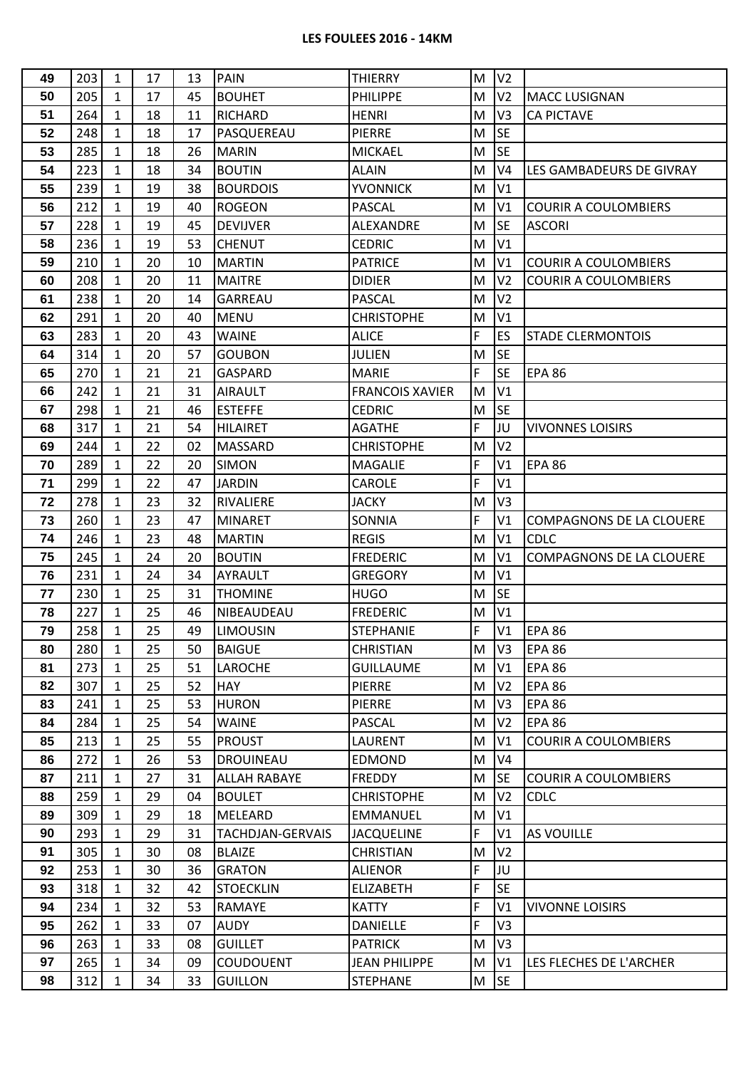## **LES FOULEES 2016 - 14KM**

| 49 | 203 | 1            | 17 | 13 | <b>PAIN</b>             | <b>THIERRY</b>         | M | V <sub>2</sub> |                                 |
|----|-----|--------------|----|----|-------------------------|------------------------|---|----------------|---------------------------------|
| 50 | 205 | 1            | 17 | 45 | <b>BOUHET</b>           | <b>PHILIPPE</b>        | M | V <sub>2</sub> | <b>MACC LUSIGNAN</b>            |
| 51 | 264 | 1            | 18 | 11 | <b>RICHARD</b>          | <b>HENRI</b>           | M | V <sub>3</sub> | <b>CA PICTAVE</b>               |
| 52 | 248 | $\mathbf{1}$ | 18 | 17 | PASQUEREAU              | PIERRE                 | M | <b>SE</b>      |                                 |
| 53 | 285 | 1            | 18 | 26 | <b>MARIN</b>            | <b>MICKAEL</b>         | M | <b>SE</b>      |                                 |
| 54 | 223 | 1            | 18 | 34 | <b>BOUTIN</b>           | <b>ALAIN</b>           | M | V <sub>4</sub> | LES GAMBADEURS DE GIVRAY        |
| 55 | 239 | 1            | 19 | 38 | <b>BOURDOIS</b>         | YVONNICK               | M | V <sub>1</sub> |                                 |
| 56 | 212 | 1            | 19 | 40 | <b>ROGEON</b>           | PASCAL                 | M | V <sub>1</sub> | <b>COURIR A COULOMBIERS</b>     |
| 57 | 228 | $\mathbf{1}$ | 19 | 45 | <b>DEVIJVER</b>         | ALEXANDRE              | M | <b>SE</b>      | <b>ASCORI</b>                   |
| 58 | 236 | 1            | 19 | 53 | <b>CHENUT</b>           | <b>CEDRIC</b>          | M | V <sub>1</sub> |                                 |
| 59 | 210 | 1            | 20 | 10 | <b>MARTIN</b>           | <b>PATRICE</b>         | M | V <sub>1</sub> | <b>COURIR A COULOMBIERS</b>     |
| 60 | 208 | 1            | 20 | 11 | <b>MAITRE</b>           | <b>DIDIER</b>          | M | V <sub>2</sub> | <b>COURIR A COULOMBIERS</b>     |
| 61 | 238 | 1            | 20 | 14 | GARREAU                 | <b>PASCAL</b>          | M | V <sub>2</sub> |                                 |
| 62 | 291 | 1            | 20 | 40 | <b>MENU</b>             | <b>CHRISTOPHE</b>      | M | V1             |                                 |
| 63 | 283 | 1            | 20 | 43 | <b>WAINE</b>            | <b>ALICE</b>           | F | ES             | <b>STADE CLERMONTOIS</b>        |
| 64 | 314 | 1            | 20 | 57 | <b>GOUBON</b>           | <b>JULIEN</b>          | M | lse            |                                 |
| 65 | 270 | 1            | 21 | 21 | <b>GASPARD</b>          | <b>MARIE</b>           | F | <b>SE</b>      | <b>EPA 86</b>                   |
| 66 | 242 | 1            | 21 | 31 | <b>AIRAULT</b>          | <b>FRANCOIS XAVIER</b> | M | V <sub>1</sub> |                                 |
| 67 | 298 | 1            | 21 | 46 | <b>ESTEFFE</b>          | <b>CEDRIC</b>          | M | <b>SE</b>      |                                 |
| 68 | 317 | 1            | 21 | 54 | <b>HILAIRET</b>         | <b>AGATHE</b>          | F | JU             | <b>VIVONNES LOISIRS</b>         |
| 69 | 244 | 1            | 22 | 02 | <b>MASSARD</b>          | <b>CHRISTOPHE</b>      | M | V <sub>2</sub> |                                 |
| 70 | 289 | 1            | 22 | 20 | <b>SIMON</b>            | <b>MAGALIE</b>         | F | V <sub>1</sub> | <b>EPA 86</b>                   |
| 71 | 299 | $\mathbf{1}$ | 22 | 47 | <b>JARDIN</b>           | <b>CAROLE</b>          | F | V1             |                                 |
| 72 | 278 | 1            | 23 | 32 | RIVALIERE               | <b>JACKY</b>           | M | V <sub>3</sub> |                                 |
| 73 | 260 | 1            | 23 | 47 | <b>MINARET</b>          | <b>SONNIA</b>          | F | V <sub>1</sub> | <b>COMPAGNONS DE LA CLOUERE</b> |
| 74 | 246 | 1            | 23 | 48 | <b>MARTIN</b>           | <b>REGIS</b>           | M | V <sub>1</sub> | <b>CDLC</b>                     |
| 75 | 245 | 1            | 24 | 20 | <b>BOUTIN</b>           | <b>FREDERIC</b>        | M | V <sub>1</sub> | <b>COMPAGNONS DE LA CLOUERE</b> |
| 76 | 231 | $\mathbf{1}$ | 24 | 34 | <b>AYRAULT</b>          | <b>GREGORY</b>         | M | V <sub>1</sub> |                                 |
| 77 | 230 | 1            | 25 | 31 | <b>THOMINE</b>          | <b>HUGO</b>            | M | lse.           |                                 |
| 78 | 227 | 1            | 25 | 46 | NIBEAUDEAU              | <b>FREDERIC</b>        | M | V <sub>1</sub> |                                 |
| 79 | 258 | 1            | 25 | 49 | LIMOUSIN                | <b>STEPHANIE</b>       | F | V <sub>1</sub> | <b>EPA 86</b>                   |
| 80 | 280 | 1            | 25 | 50 | <b>BAIGUE</b>           | <b>CHRISTIAN</b>       | M | V <sub>3</sub> | <b>EPA 86</b>                   |
| 81 | 273 | 1            | 25 | 51 | LAROCHE                 | <b>GUILLAUME</b>       | M | V1             | <b>EPA 86</b>                   |
| 82 | 307 | 1            | 25 | 52 | <b>HAY</b>              | <b>PIERRE</b>          | M | V <sub>2</sub> | <b>EPA 86</b>                   |
| 83 | 241 | $\mathbf{1}$ | 25 | 53 | <b>HURON</b>            | <b>PIERRE</b>          | M | V <sub>3</sub> | <b>EPA 86</b>                   |
| 84 | 284 | 1            | 25 | 54 | <b>WAINE</b>            | <b>PASCAL</b>          | M | V <sub>2</sub> | <b>EPA 86</b>                   |
| 85 | 213 | 1            | 25 | 55 | <b>PROUST</b>           | <b>LAURENT</b>         | M | V1             | <b>COURIR A COULOMBIERS</b>     |
| 86 | 272 | 1            | 26 | 53 | <b>DROUINEAU</b>        | <b>EDMOND</b>          | M | V <sub>4</sub> |                                 |
| 87 | 211 | 1            | 27 | 31 | <b>ALLAH RABAYE</b>     | <b>FREDDY</b>          | M | <b>SE</b>      | <b>COURIR A COULOMBIERS</b>     |
| 88 | 259 | $\mathbf{1}$ | 29 | 04 | <b>BOULET</b>           | <b>CHRISTOPHE</b>      | M | V <sub>2</sub> | <b>CDLC</b>                     |
| 89 | 309 | $\mathbf{1}$ | 29 | 18 | <b>MELEARD</b>          | <b>EMMANUEL</b>        | M | V1             |                                 |
| 90 | 293 | 1            | 29 | 31 | <b>TACHDJAN-GERVAIS</b> | <b>JACQUELINE</b>      | F | V <sub>1</sub> | <b>AS VOUILLE</b>               |
| 91 | 305 | 1            | 30 | 08 | <b>BLAIZE</b>           | <b>CHRISTIAN</b>       | M | V <sub>2</sub> |                                 |
| 92 | 253 | $\mathbf{1}$ | 30 | 36 | <b>GRATON</b>           | <b>ALIENOR</b>         | F | Jυ             |                                 |
| 93 | 318 | 1            | 32 | 42 | <b>STOECKLIN</b>        | <b>ELIZABETH</b>       | F | <b>SE</b>      |                                 |
| 94 | 234 | 1            | 32 | 53 | <b>RAMAYE</b>           | <b>KATTY</b>           | F | V <sub>1</sub> | <b>VIVONNE LOISIRS</b>          |
| 95 | 262 | $\mathbf{1}$ | 33 | 07 | <b>AUDY</b>             | <b>DANIELLE</b>        | F | V <sub>3</sub> |                                 |
| 96 | 263 | 1            | 33 | 08 | <b>GUILLET</b>          | <b>PATRICK</b>         | M | V <sub>3</sub> |                                 |
| 97 | 265 | 1            | 34 | 09 | COUDOUENT               | <b>JEAN PHILIPPE</b>   | M | V <sub>1</sub> | LES FLECHES DE L'ARCHER         |
| 98 | 312 | 1            | 34 | 33 | <b>GUILLON</b>          | <b>STEPHANE</b>        | M | <b>SE</b>      |                                 |